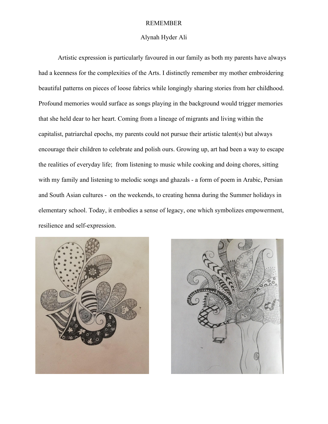## REMEMBER

### Alynah Hyder Ali

Artistic expression is particularly favoured in our family as both my parents have always had a keenness for the complexities of the Arts. I distinctly remember my mother embroidering beautiful patterns on pieces of loose fabrics while longingly sharing stories from her childhood. Profound memories would surface as songs playing in the background would trigger memories that she held dear to her heart. Coming from a lineage of migrants and living within the capitalist, patriarchal epochs, my parents could not pursue their artistic talent(s) but always encourage their children to celebrate and polish ours. Growing up, art had been a way to escape the realities of everyday life; from listening to music while cooking and doing chores, sitting with my family and listening to melodic songs and ghazals - a form of poem in Arabic, Persian and South Asian cultures - on the weekends, to creating henna during the Summer holidays in elementary school. Today, it embodies a sense of legacy, one which symbolizes empowerment, resilience and self-expression.



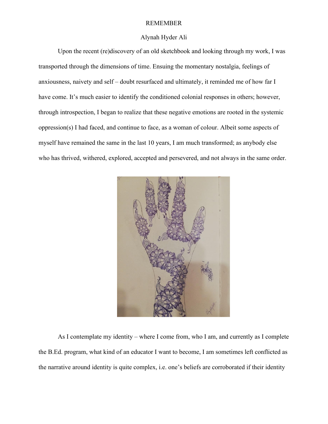## REMEMBER

# Alynah Hyder Ali

Upon the recent (re)discovery of an old sketchbook and looking through my work, I was transported through the dimensions of time. Ensuing the momentary nostalgia, feelings of anxiousness, naivety and self – doubt resurfaced and ultimately, it reminded me of how far I have come. It's much easier to identify the conditioned colonial responses in others; however, through introspection, I began to realize that these negative emotions are rooted in the systemic oppression(s) I had faced, and continue to face, as a woman of colour. Albeit some aspects of myself have remained the same in the last 10 years, I am much transformed; as anybody else who has thrived, withered, explored, accepted and persevered, and not always in the same order.



As I contemplate my identity – where I come from, who I am, and currently as I complete the B.Ed. program, what kind of an educator I want to become, I am sometimes left conflicted as the narrative around identity is quite complex, i.e. one's beliefs are corroborated if their identity